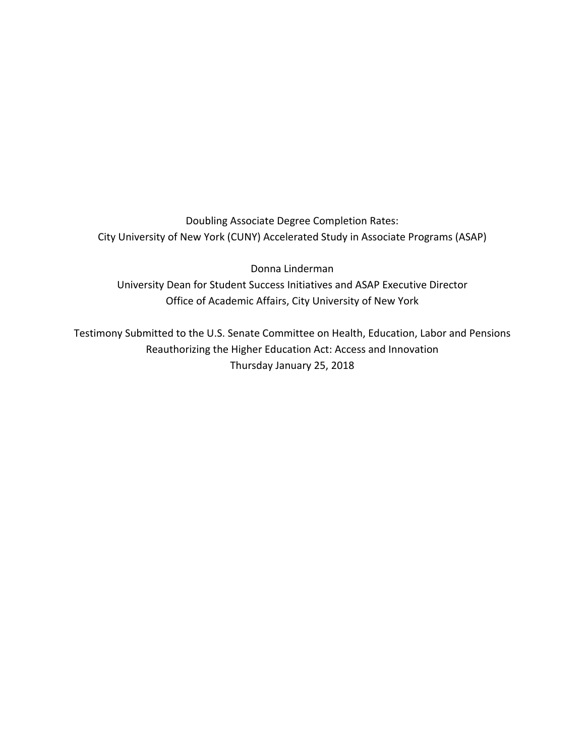Doubling Associate Degree Completion Rates: City University of New York (CUNY) Accelerated Study in Associate Programs (ASAP)

Donna Linderman University Dean for Student Success Initiatives and ASAP Executive Director Office of Academic Affairs, City University of New York

Testimony Submitted to the U.S. Senate Committee on Health, Education, Labor and Pensions Reauthorizing the Higher Education Act: Access and Innovation Thursday January 25, 2018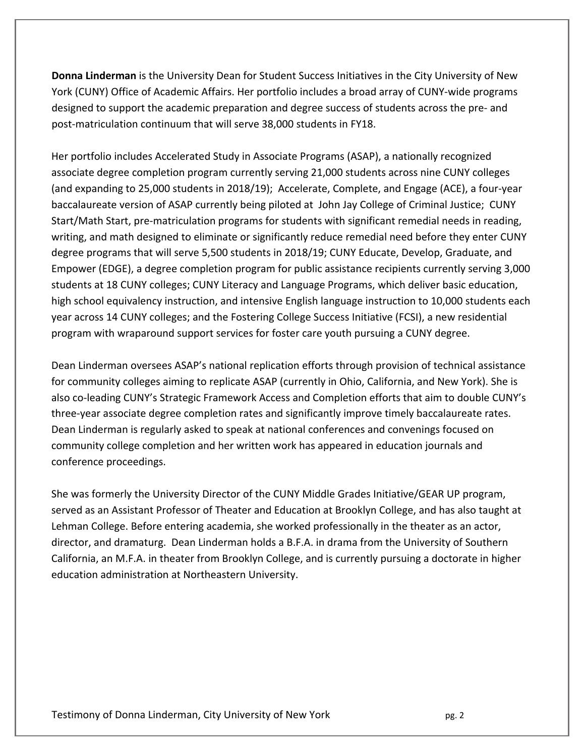**Donna Linderman** is the University Dean for Student Success Initiatives in the City University of New York (CUNY) Office of Academic Affairs. Her portfolio includes a broad array of CUNY‐wide programs designed to support the academic preparation and degree success of students across the pre‐ and post‐matriculation continuum that will serve 38,000 students in FY18.

Her portfolio includes Accelerated Study in Associate Programs (ASAP), a nationally recognized associate degree completion program currently serving 21,000 students across nine CUNY colleges (and expanding to 25,000 students in 2018/19); Accelerate, Complete, and Engage (ACE), a four‐year baccalaureate version of ASAP currently being piloted at John Jay College of Criminal Justice; CUNY Start/Math Start, pre‐matriculation programs for students with significant remedial needs in reading, writing, and math designed to eliminate or significantly reduce remedial need before they enter CUNY degree programs that will serve 5,500 students in 2018/19; CUNY Educate, Develop, Graduate, and Empower (EDGE), a degree completion program for public assistance recipients currently serving 3,000 students at 18 CUNY colleges; CUNY Literacy and Language Programs, which deliver basic education, high school equivalency instruction, and intensive English language instruction to 10,000 students each year across 14 CUNY colleges; and the Fostering College Success Initiative (FCSI), a new residential program with wraparound support services for foster care youth pursuing a CUNY degree.

Dean Linderman oversees ASAP's national replication efforts through provision of technical assistance for community colleges aiming to replicate ASAP (currently in Ohio, California, and New York). She is also co-leading CUNY's Strategic Framework Access and Completion efforts that aim to double CUNY's three‐year associate degree completion rates and significantly improve timely baccalaureate rates. Dean Linderman is regularly asked to speak at national conferences and convenings focused on community college completion and her written work has appeared in education journals and conference proceedings.

She was formerly the University Director of the CUNY Middle Grades Initiative/GEAR UP program, served as an Assistant Professor of Theater and Education at Brooklyn College, and has also taught at Lehman College. Before entering academia, she worked professionally in the theater as an actor, director, and dramaturg. Dean Linderman holds a B.F.A. in drama from the University of Southern California, an M.F.A. in theater from Brooklyn College, and is currently pursuing a doctorate in higher education administration at Northeastern University.

Testimony of Donna Linderman, City University of New York  **pg. 2** pg. 2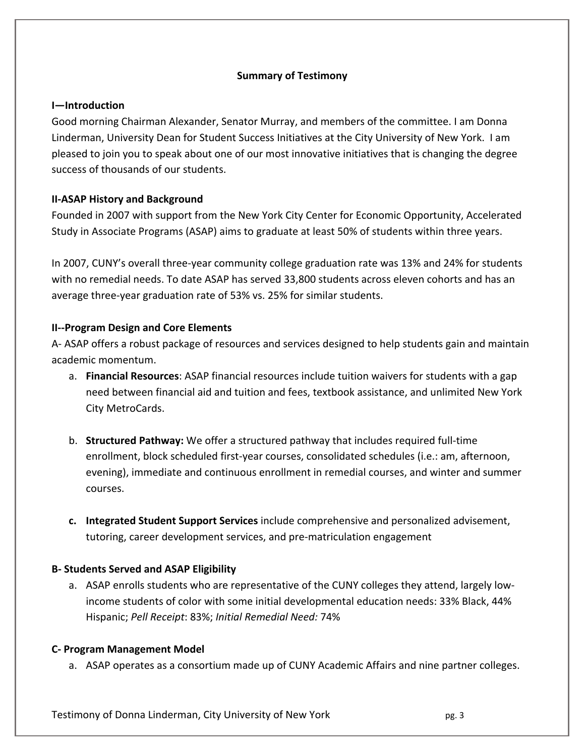# **Summary of Testimony**

# **I—Introduction**

Good morning Chairman Alexander, Senator Murray, and members of the committee. I am Donna Linderman, University Dean for Student Success Initiatives at the City University of New York. I am pleased to join you to speak about one of our most innovative initiatives that is changing the degree success of thousands of our students.

# **II‐ASAP History and Background**

Founded in 2007 with support from the New York City Center for Economic Opportunity, Accelerated Study in Associate Programs (ASAP) aims to graduate at least 50% of students within three years.

In 2007, CUNY's overall three‐year community college graduation rate was 13% and 24% for students with no remedial needs. To date ASAP has served 33,800 students across eleven cohorts and has an average three‐year graduation rate of 53% vs. 25% for similar students.

# **II‐‐Program Design and Core Elements**

A‐ ASAP offers a robust package of resources and services designed to help students gain and maintain academic momentum.

- a. **Financial Resources**: ASAP financial resources include tuition waivers for students with a gap need between financial aid and tuition and fees, textbook assistance, and unlimited New York City MetroCards.
- b. **Structured Pathway:** We offer a structured pathway that includes required full‐time enrollment, block scheduled first‐year courses, consolidated schedules (i.e.: am, afternoon, evening), immediate and continuous enrollment in remedial courses, and winter and summer courses.
- **c. Integrated Student Support Services** include comprehensive and personalized advisement, tutoring, career development services, and pre‐matriculation engagement

# **B‐ Students Served and ASAP Eligibility**

a. ASAP enrolls students who are representative of the CUNY colleges they attend, largely lowincome students of color with some initial developmental education needs: 33% Black, 44% Hispanic; *Pell Receipt*: 83%; *Initial Remedial Need:* 74%

# **C‐ Program Management Model**

a. ASAP operates as a consortium made up of CUNY Academic Affairs and nine partner colleges.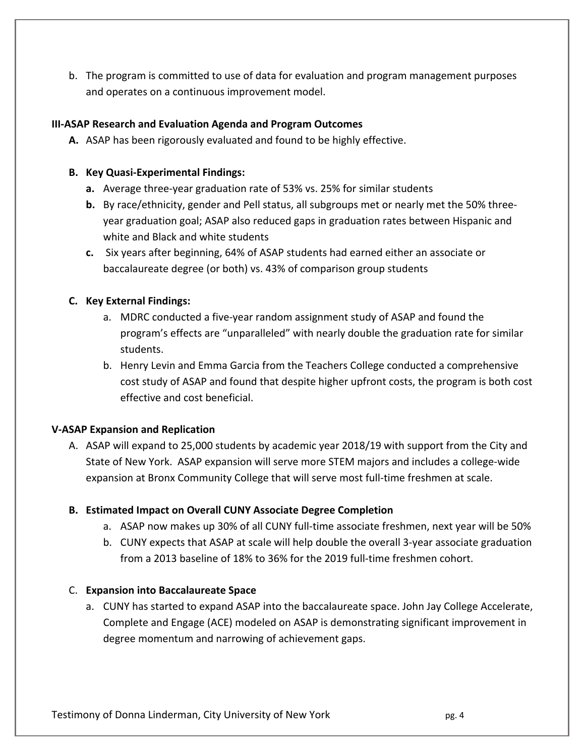b. The program is committed to use of data for evaluation and program management purposes and operates on a continuous improvement model.

# **III‐ASAP Research and Evaluation Agenda and Program Outcomes**

**A.** ASAP has been rigorously evaluated and found to be highly effective.

# **B. Key Quasi‐Experimental Findings:**

- **a.** Average three‐year graduation rate of 53% vs. 25% for similar students
- **b.** By race/ethnicity, gender and Pell status, all subgroups met or nearly met the 50% three‐ year graduation goal; ASAP also reduced gaps in graduation rates between Hispanic and white and Black and white students
- **c.** Six years after beginning, 64% of ASAP students had earned either an associate or baccalaureate degree (or both) vs. 43% of comparison group students

# **C. Key External Findings:**

- a. MDRC conducted a five‐year random assignment study of ASAP and found the program's effects are "unparalleled" with nearly double the graduation rate for similar students.
- b. Henry Levin and Emma Garcia from the Teachers College conducted a comprehensive cost study of ASAP and found that despite higher upfront costs, the program is both cost effective and cost beneficial.

# **V‐ASAP Expansion and Replication**

A. ASAP will expand to 25,000 students by academic year 2018/19 with support from the City and State of New York. ASAP expansion will serve more STEM majors and includes a college‐wide expansion at Bronx Community College that will serve most full-time freshmen at scale.

# **B. Estimated Impact on Overall CUNY Associate Degree Completion**

- a. ASAP now makes up 30% of all CUNY full‐time associate freshmen, next year will be 50%
- b. CUNY expects that ASAP at scale will help double the overall 3‐year associate graduation from a 2013 baseline of 18% to 36% for the 2019 full-time freshmen cohort.

# C. **Expansion into Baccalaureate Space**

a. CUNY has started to expand ASAP into the baccalaureate space. John Jay College Accelerate, Complete and Engage (ACE) modeled on ASAP is demonstrating significant improvement in degree momentum and narrowing of achievement gaps.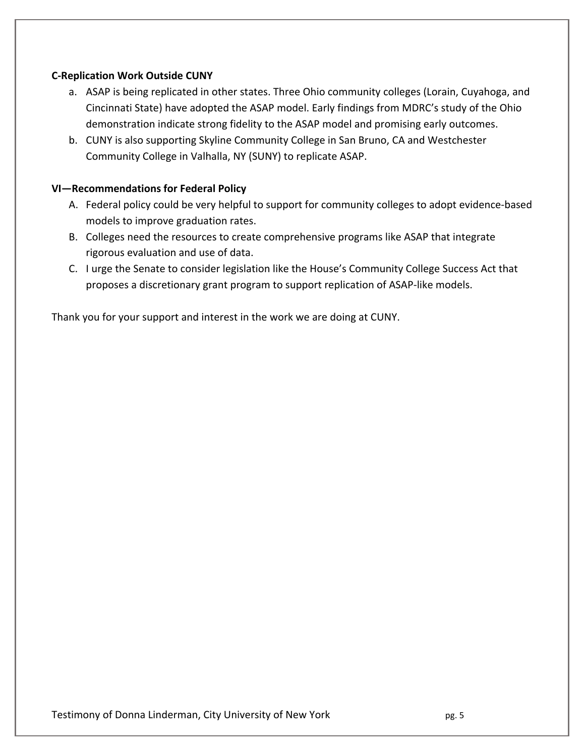# **C‐Replication Work Outside CUNY**

- a. ASAP is being replicated in other states. Three Ohio community colleges (Lorain, Cuyahoga, and Cincinnati State) have adopted the ASAP model. Early findings from MDRC's study of the Ohio demonstration indicate strong fidelity to the ASAP model and promising early outcomes.
- b. CUNY is also supporting Skyline Community College in San Bruno, CA and Westchester Community College in Valhalla, NY (SUNY) to replicate ASAP.

### **VI—Recommendations for Federal Policy**

- A. Federal policy could be very helpful to support for community colleges to adopt evidence‐based models to improve graduation rates.
- B. Colleges need the resources to create comprehensive programs like ASAP that integrate rigorous evaluation and use of data.
- C. I urge the Senate to consider legislation like the House's Community College Success Act that proposes a discretionary grant program to support replication of ASAP‐like models.

Thank you for your support and interest in the work we are doing at CUNY.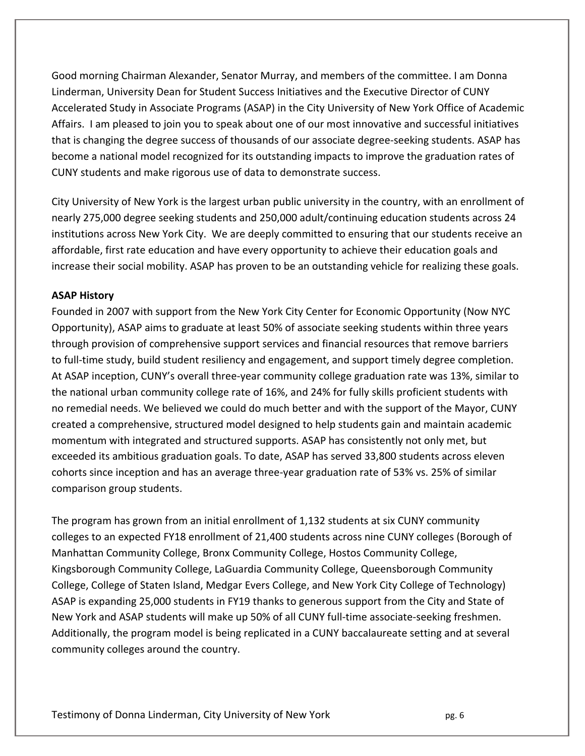Good morning Chairman Alexander, Senator Murray, and members of the committee. I am Donna Linderman, University Dean for Student Success Initiatives and the Executive Director of CUNY Accelerated Study in Associate Programs (ASAP) in the City University of New York Office of Academic Affairs. I am pleased to join you to speak about one of our most innovative and successful initiatives that is changing the degree success of thousands of our associate degree‐seeking students. ASAP has become a national model recognized for its outstanding impacts to improve the graduation rates of CUNY students and make rigorous use of data to demonstrate success.

City University of New York is the largest urban public university in the country, with an enrollment of nearly 275,000 degree seeking students and 250,000 adult/continuing education students across 24 institutions across New York City. We are deeply committed to ensuring that our students receive an affordable, first rate education and have every opportunity to achieve their education goals and increase their social mobility. ASAP has proven to be an outstanding vehicle for realizing these goals.

# **ASAP History**

Founded in 2007 with support from the New York City Center for Economic Opportunity (Now NYC Opportunity), ASAP aims to graduate at least 50% of associate seeking students within three years through provision of comprehensive support services and financial resources that remove barriers to full‐time study, build student resiliency and engagement, and support timely degree completion. At ASAP inception, CUNY's overall three‐year community college graduation rate was 13%, similar to the national urban community college rate of 16%, and 24% for fully skills proficient students with no remedial needs. We believed we could do much better and with the support of the Mayor, CUNY created a comprehensive, structured model designed to help students gain and maintain academic momentum with integrated and structured supports. ASAP has consistently not only met, but exceeded its ambitious graduation goals. To date, ASAP has served 33,800 students across eleven cohorts since inception and has an average three‐year graduation rate of 53% vs. 25% of similar comparison group students.

The program has grown from an initial enrollment of 1,132 students at six CUNY community colleges to an expected FY18 enrollment of 21,400 students across nine CUNY colleges (Borough of Manhattan Community College, Bronx Community College, Hostos Community College, Kingsborough Community College, LaGuardia Community College, Queensborough Community College, College of Staten Island, Medgar Evers College, and New York City College of Technology) ASAP is expanding 25,000 students in FY19 thanks to generous support from the City and State of New York and ASAP students will make up 50% of all CUNY full‐time associate‐seeking freshmen. Additionally, the program model is being replicated in a CUNY baccalaureate setting and at several community colleges around the country.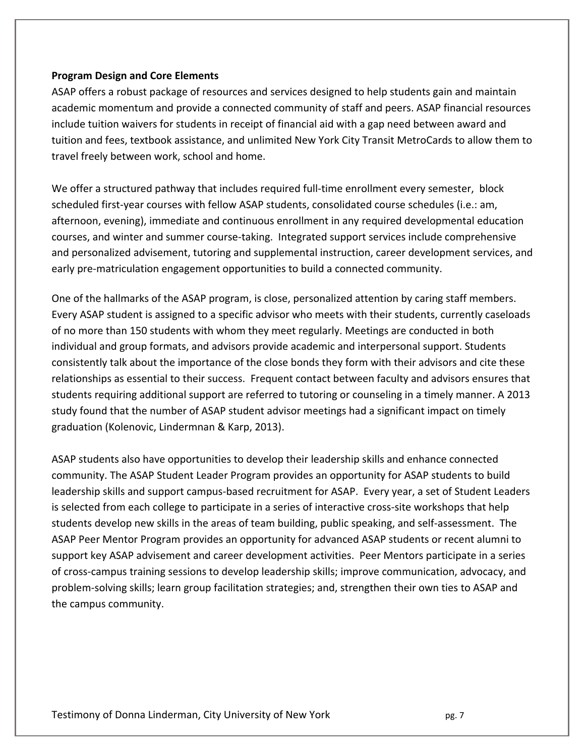#### **Program Design and Core Elements**

ASAP offers a robust package of resources and services designed to help students gain and maintain academic momentum and provide a connected community of staff and peers. ASAP financial resources include tuition waivers for students in receipt of financial aid with a gap need between award and tuition and fees, textbook assistance, and unlimited New York City Transit MetroCards to allow them to travel freely between work, school and home.

We offer a structured pathway that includes required full-time enrollment every semester, block scheduled first-year courses with fellow ASAP students, consolidated course schedules (i.e.: am, afternoon, evening), immediate and continuous enrollment in any required developmental education courses, and winter and summer course‐taking. Integrated support services include comprehensive and personalized advisement, tutoring and supplemental instruction, career development services, and early pre‐matriculation engagement opportunities to build a connected community.

One of the hallmarks of the ASAP program, is close, personalized attention by caring staff members. Every ASAP student is assigned to a specific advisor who meets with their students, currently caseloads of no more than 150 students with whom they meet regularly. Meetings are conducted in both individual and group formats, and advisors provide academic and interpersonal support. Students consistently talk about the importance of the close bonds they form with their advisors and cite these relationships as essential to their success. Frequent contact between faculty and advisors ensures that students requiring additional support are referred to tutoring or counseling in a timely manner. A 2013 study found that the number of ASAP student advisor meetings had a significant impact on timely graduation (Kolenovic, Lindermnan & Karp, 2013).

ASAP students also have opportunities to develop their leadership skills and enhance connected community. The ASAP Student Leader Program provides an opportunity for ASAP students to build leadership skills and support campus‐based recruitment for ASAP. Every year, a set of Student Leaders is selected from each college to participate in a series of interactive cross‐site workshops that help students develop new skills in the areas of team building, public speaking, and self‐assessment. The ASAP Peer Mentor Program provides an opportunity for advanced ASAP students or recent alumni to support key ASAP advisement and career development activities. Peer Mentors participate in a series of cross‐campus training sessions to develop leadership skills; improve communication, advocacy, and problem‐solving skills; learn group facilitation strategies; and, strengthen their own ties to ASAP and the campus community.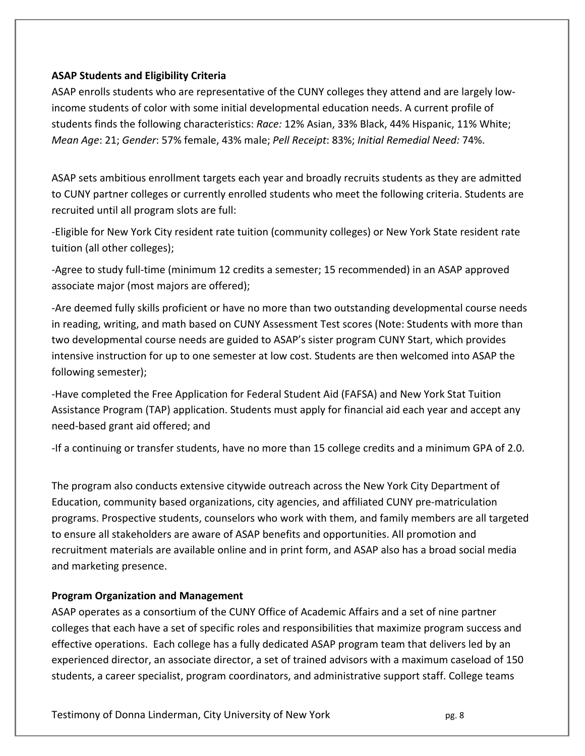# **ASAP Students and Eligibility Criteria**

ASAP enrolls students who are representative of the CUNY colleges they attend and are largely low‐ income students of color with some initial developmental education needs. A current profile of students finds the following characteristics: *Race:* 12% Asian, 33% Black, 44% Hispanic, 11% White; *Mean Age*: 21; *Gender*: 57% female, 43% male; *Pell Receipt*: 83%; *Initial Remedial Need:* 74%.

ASAP sets ambitious enrollment targets each year and broadly recruits students as they are admitted to CUNY partner colleges or currently enrolled students who meet the following criteria. Students are recruited until all program slots are full:

‐Eligible for New York City resident rate tuition (community colleges) or New York State resident rate tuition (all other colleges);

‐Agree to study full‐time (minimum 12 credits a semester; 15 recommended) in an ASAP approved associate major (most majors are offered);

‐Are deemed fully skills proficient or have no more than two outstanding developmental course needs in reading, writing, and math based on CUNY Assessment Test scores (Note: Students with more than two developmental course needs are guided to ASAP's sister program CUNY Start, which provides intensive instruction for up to one semester at low cost. Students are then welcomed into ASAP the following semester);

‐Have completed the Free Application for Federal Student Aid (FAFSA) and New York Stat Tuition Assistance Program (TAP) application. Students must apply for financial aid each year and accept any need‐based grant aid offered; and

‐If a continuing or transfer students, have no more than 15 college credits and a minimum GPA of 2.0.

The program also conducts extensive citywide outreach across the New York City Department of Education, community based organizations, city agencies, and affiliated CUNY pre‐matriculation programs. Prospective students, counselors who work with them, and family members are all targeted to ensure all stakeholders are aware of ASAP benefits and opportunities. All promotion and recruitment materials are available online and in print form, and ASAP also has a broad social media and marketing presence.

# **Program Organization and Management**

ASAP operates as a consortium of the CUNY Office of Academic Affairs and a set of nine partner colleges that each have a set of specific roles and responsibilities that maximize program success and effective operations. Each college has a fully dedicated ASAP program team that delivers led by an experienced director, an associate director, a set of trained advisors with a maximum caseload of 150 students, a career specialist, program coordinators, and administrative support staff. College teams

Testimony of Donna Linderman, City University of New York **South American** Connect Assets and Deg. 8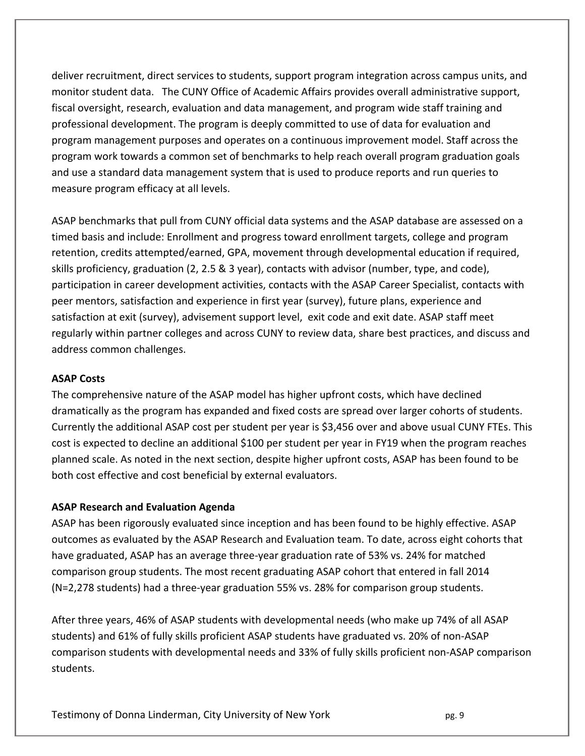deliver recruitment, direct services to students, support program integration across campus units, and monitor student data. The CUNY Office of Academic Affairs provides overall administrative support, fiscal oversight, research, evaluation and data management, and program wide staff training and professional development. The program is deeply committed to use of data for evaluation and program management purposes and operates on a continuous improvement model. Staff across the program work towards a common set of benchmarks to help reach overall program graduation goals and use a standard data management system that is used to produce reports and run queries to measure program efficacy at all levels.

ASAP benchmarks that pull from CUNY official data systems and the ASAP database are assessed on a timed basis and include: Enrollment and progress toward enrollment targets, college and program retention, credits attempted/earned, GPA, movement through developmental education if required, skills proficiency, graduation (2, 2.5 & 3 year), contacts with advisor (number, type, and code), participation in career development activities, contacts with the ASAP Career Specialist, contacts with peer mentors, satisfaction and experience in first year (survey), future plans, experience and satisfaction at exit (survey), advisement support level, exit code and exit date. ASAP staff meet regularly within partner colleges and across CUNY to review data, share best practices, and discuss and address common challenges.

# **ASAP Costs**

The comprehensive nature of the ASAP model has higher upfront costs, which have declined dramatically as the program has expanded and fixed costs are spread over larger cohorts of students. Currently the additional ASAP cost per student per year is \$3,456 over and above usual CUNY FTEs. This cost is expected to decline an additional \$100 per student per year in FY19 when the program reaches planned scale. As noted in the next section, despite higher upfront costs, ASAP has been found to be both cost effective and cost beneficial by external evaluators.

# **ASAP Research and Evaluation Agenda**

ASAP has been rigorously evaluated since inception and has been found to be highly effective. ASAP outcomes as evaluated by the ASAP Research and Evaluation team. To date, across eight cohorts that have graduated, ASAP has an average three‐year graduation rate of 53% vs. 24% for matched comparison group students. The most recent graduating ASAP cohort that entered in fall 2014 (N=2,278 students) had a three‐year graduation 55% vs. 28% for comparison group students.

After three years, 46% of ASAP students with developmental needs (who make up 74% of all ASAP students) and 61% of fully skills proficient ASAP students have graduated vs. 20% of non‐ASAP comparison students with developmental needs and 33% of fully skills proficient non‐ASAP comparison students.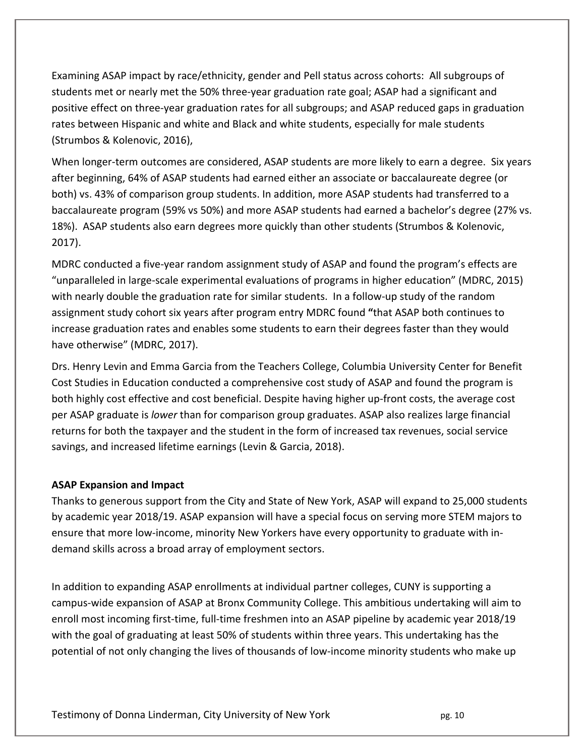Examining ASAP impact by race/ethnicity, gender and Pell status across cohorts: All subgroups of students met or nearly met the 50% three‐year graduation rate goal; ASAP had a significant and positive effect on three‐year graduation rates for all subgroups; and ASAP reduced gaps in graduation rates between Hispanic and white and Black and white students, especially for male students (Strumbos & Kolenovic, 2016),

When longer-term outcomes are considered, ASAP students are more likely to earn a degree. Six years after beginning, 64% of ASAP students had earned either an associate or baccalaureate degree (or both) vs. 43% of comparison group students. In addition, more ASAP students had transferred to a baccalaureate program (59% vs 50%) and more ASAP students had earned a bachelor's degree (27% vs. 18%). ASAP students also earn degrees more quickly than other students (Strumbos & Kolenovic, 2017).

MDRC conducted a five‐year random assignment study of ASAP and found the program's effects are "unparalleled in large‐scale experimental evaluations of programs in higher education" (MDRC, 2015) with nearly double the graduation rate for similar students. In a follow-up study of the random assignment study cohort six years after program entry MDRC found **"**that ASAP both continues to increase graduation rates and enables some students to earn their degrees faster than they would have otherwise" (MDRC, 2017).

Drs. Henry Levin and Emma Garcia from the Teachers College, Columbia University Center for Benefit Cost Studies in Education conducted a comprehensive cost study of ASAP and found the program is both highly cost effective and cost beneficial. Despite having higher up-front costs, the average cost per ASAP graduate is *lower* than for comparison group graduates. ASAP also realizes large financial returns for both the taxpayer and the student in the form of increased tax revenues, social service savings, and increased lifetime earnings (Levin & Garcia, 2018).

# **ASAP Expansion and Impact**

Thanks to generous support from the City and State of New York, ASAP will expand to 25,000 students by academic year 2018/19. ASAP expansion will have a special focus on serving more STEM majors to ensure that more low‐income, minority New Yorkers have every opportunity to graduate with in‐ demand skills across a broad array of employment sectors.

In addition to expanding ASAP enrollments at individual partner colleges, CUNY is supporting a campus‐wide expansion of ASAP at Bronx Community College. This ambitious undertaking will aim to enroll most incoming first-time, full-time freshmen into an ASAP pipeline by academic year 2018/19 with the goal of graduating at least 50% of students within three years. This undertaking has the potential of not only changing the lives of thousands of low‐income minority students who make up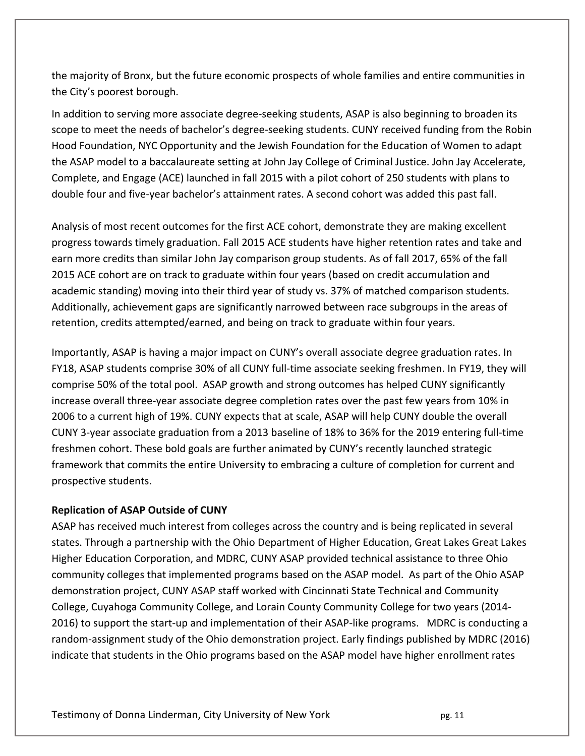the majority of Bronx, but the future economic prospects of whole families and entire communities in the City's poorest borough.

In addition to serving more associate degree-seeking students, ASAP is also beginning to broaden its scope to meet the needs of bachelor's degree‐seeking students. CUNY received funding from the Robin Hood Foundation, NYC Opportunity and the Jewish Foundation for the Education of Women to adapt the ASAP model to a baccalaureate setting at John Jay College of Criminal Justice. John Jay Accelerate, Complete, and Engage (ACE) launched in fall 2015 with a pilot cohort of 250 students with plans to double four and five‐year bachelor's attainment rates. A second cohort was added this past fall.

Analysis of most recent outcomes for the first ACE cohort, demonstrate they are making excellent progress towards timely graduation. Fall 2015 ACE students have higher retention rates and take and earn more credits than similar John Jay comparison group students. As of fall 2017, 65% of the fall 2015 ACE cohort are on track to graduate within four years (based on credit accumulation and academic standing) moving into their third year of study vs. 37% of matched comparison students. Additionally, achievement gaps are significantly narrowed between race subgroups in the areas of retention, credits attempted/earned, and being on track to graduate within four years.

Importantly, ASAP is having a major impact on CUNY's overall associate degree graduation rates. In FY18, ASAP students comprise 30% of all CUNY full‐time associate seeking freshmen. In FY19, they will comprise 50% of the total pool. ASAP growth and strong outcomes has helped CUNY significantly increase overall three‐year associate degree completion rates over the past few years from 10% in 2006 to a current high of 19%. CUNY expects that at scale, ASAP will help CUNY double the overall CUNY 3‐year associate graduation from a 2013 baseline of 18% to 36% for the 2019 entering full‐time freshmen cohort. These bold goals are further animated by CUNY's recently launched strategic framework that commits the entire University to embracing a culture of completion for current and prospective students.

# **Replication of ASAP Outside of CUNY**

ASAP has received much interest from colleges across the country and is being replicated in several states. Through a partnership with the Ohio Department of Higher Education, Great Lakes Great Lakes Higher Education Corporation, and MDRC, CUNY ASAP provided technical assistance to three Ohio community colleges that implemented programs based on the ASAP model. As part of the Ohio ASAP demonstration project, CUNY ASAP staff worked with Cincinnati State Technical and Community College, Cuyahoga Community College, and Lorain County Community College for two years (2014‐ 2016) to support the start-up and implementation of their ASAP-like programs. MDRC is conducting a random‐assignment study of the Ohio demonstration project. Early findings published by MDRC (2016) indicate that students in the Ohio programs based on the ASAP model have higher enrollment rates

Testimony of Donna Linderman, City University of New York  **pg. 11** pg. 11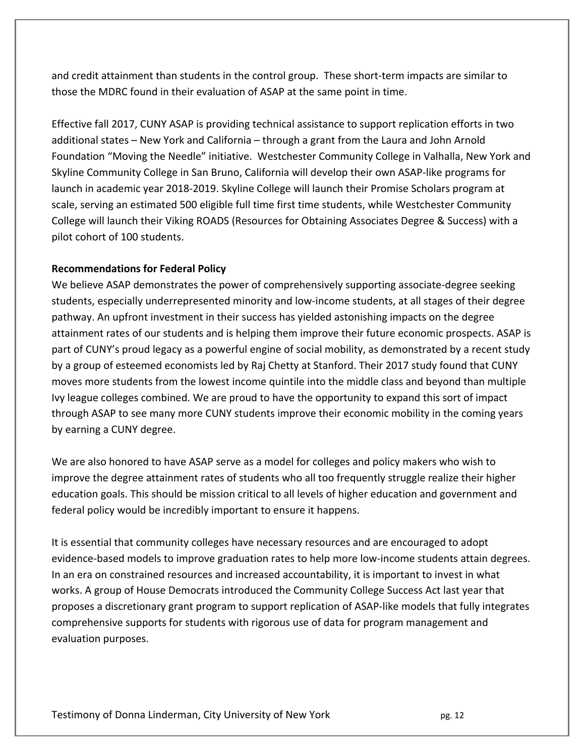and credit attainment than students in the control group. These short-term impacts are similar to those the MDRC found in their evaluation of ASAP at the same point in time.

Effective fall 2017, CUNY ASAP is providing technical assistance to support replication efforts in two additional states – New York and California – through a grant from the Laura and John Arnold Foundation "Moving the Needle" initiative. Westchester Community College in Valhalla, New York and Skyline Community College in San Bruno, California will develop their own ASAP‐like programs for launch in academic year 2018‐2019. Skyline College will launch their Promise Scholars program at scale, serving an estimated 500 eligible full time first time students, while Westchester Community College will launch their Viking ROADS (Resources for Obtaining Associates Degree & Success) with a pilot cohort of 100 students.

# **Recommendations for Federal Policy**

We believe ASAP demonstrates the power of comprehensively supporting associate-degree seeking students, especially underrepresented minority and low‐income students, at all stages of their degree pathway. An upfront investment in their success has yielded astonishing impacts on the degree attainment rates of our students and is helping them improve their future economic prospects. ASAP is part of CUNY's proud legacy as a powerful engine of social mobility, as demonstrated by a recent study by a group of esteemed economists led by Raj Chetty at Stanford. Their 2017 study found that CUNY moves more students from the lowest income quintile into the middle class and beyond than multiple Ivy league colleges combined. We are proud to have the opportunity to expand this sort of impact through ASAP to see many more CUNY students improve their economic mobility in the coming years by earning a CUNY degree.

We are also honored to have ASAP serve as a model for colleges and policy makers who wish to improve the degree attainment rates of students who all too frequently struggle realize their higher education goals. This should be mission critical to all levels of higher education and government and federal policy would be incredibly important to ensure it happens.

It is essential that community colleges have necessary resources and are encouraged to adopt evidence‐based models to improve graduation rates to help more low‐income students attain degrees. In an era on constrained resources and increased accountability, it is important to invest in what works. A group of House Democrats introduced the Community College Success Act last year that proposes a discretionary grant program to support replication of ASAP‐like models that fully integrates comprehensive supports for students with rigorous use of data for program management and evaluation purposes.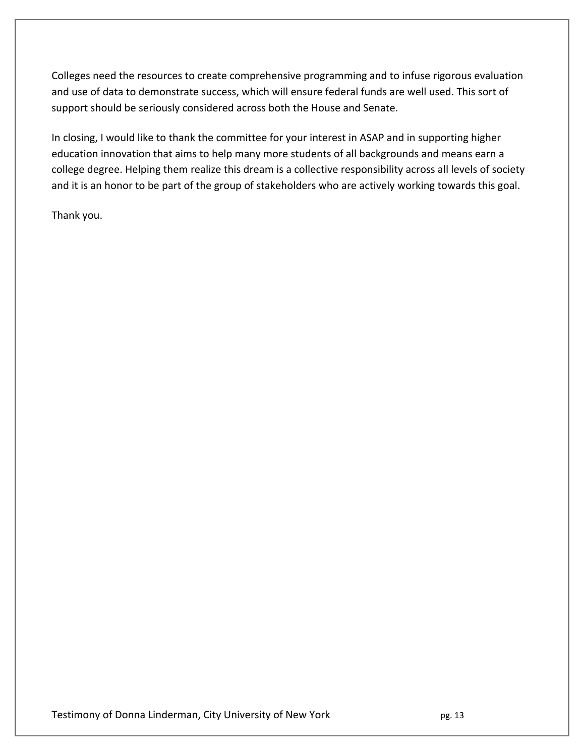Colleges need the resources to create comprehensive programming and to infuse rigorous evaluation and use of data to demonstrate success, which will ensure federal funds are well used. This sort of support should be seriously considered across both the House and Senate.

In closing, I would like to thank the committee for your interest in ASAP and in supporting higher education innovation that aims to help many more students of all backgrounds and means earn a college degree. Helping them realize this dream is a collective responsibility across all levels of society and it is an honor to be part of the group of stakeholders who are actively working towards this goal.

Thank you.